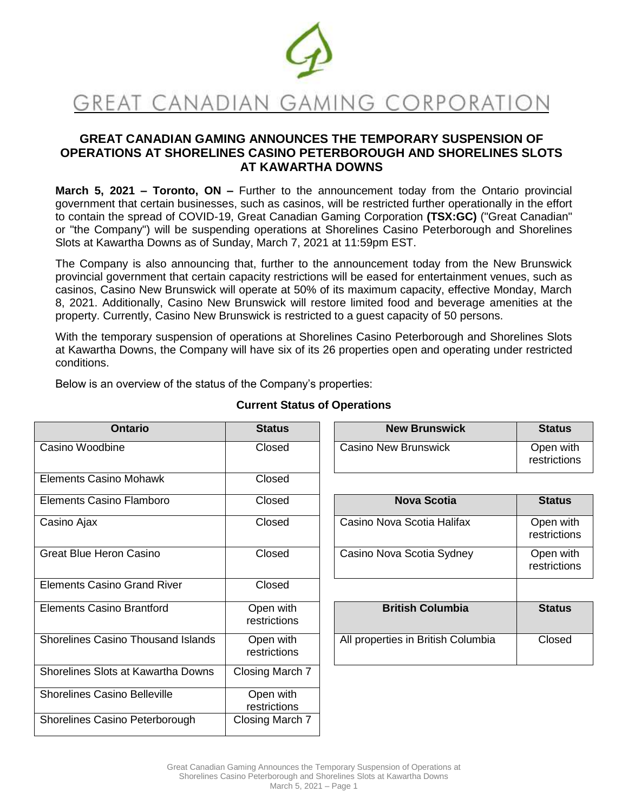

# **GREAT CANADIAN GAMING ANNOUNCES THE TEMPORARY SUSPENSION OF OPERATIONS AT SHORELINES CASINO PETERBOROUGH AND SHORELINES SLOTS AT KAWARTHA DOWNS**

**March 5, 2021 – Toronto, ON –** Further to the announcement today from the Ontario provincial government that certain businesses, such as casinos, will be restricted further operationally in the effort to contain the spread of COVID-19, Great Canadian Gaming Corporation **(TSX:GC)** ("Great Canadian" or "the Company") will be suspending operations at Shorelines Casino Peterborough and Shorelines Slots at Kawartha Downs as of Sunday, March 7, 2021 at 11:59pm EST.

The Company is also announcing that, further to the announcement today from the New Brunswick provincial government that certain capacity restrictions will be eased for entertainment venues, such as casinos, Casino New Brunswick will operate at 50% of its maximum capacity, effective Monday, March 8, 2021. Additionally, Casino New Brunswick will restore limited food and beverage amenities at the property. Currently, Casino New Brunswick is restricted to a guest capacity of 50 persons.

With the temporary suspension of operations at Shorelines Casino Peterborough and Shorelines Slots at Kawartha Downs, the Company will have six of its 26 properties open and operating under restricted conditions.

Below is an overview of the status of the Company's properties:

| <b>Ontario</b>                            | <b>Status</b>             | <b>New Brunswick</b>               | <b>Status</b>             |
|-------------------------------------------|---------------------------|------------------------------------|---------------------------|
| Casino Woodbine                           | Closed                    | <b>Casino New Brunswick</b>        | Open with<br>restrictions |
| <b>Elements Casino Mohawk</b>             | Closed                    |                                    |                           |
| Elements Casino Flamboro                  | Closed                    | <b>Nova Scotia</b>                 | <b>Status</b>             |
| Casino Ajax                               | Closed                    | Casino Nova Scotia Halifax         | Open with<br>restrictions |
| <b>Great Blue Heron Casino</b>            | Closed                    | Casino Nova Scotia Sydney          | Open with<br>restrictions |
| <b>Elements Casino Grand River</b>        | Closed                    |                                    |                           |
| <b>Elements Casino Brantford</b>          | Open with<br>restrictions | <b>British Columbia</b>            | <b>Status</b>             |
| <b>Shorelines Casino Thousand Islands</b> | Open with<br>restrictions | All properties in British Columbia | Closed                    |
| Shorelines Slots at Kawartha Downs        | Closing March 7           |                                    |                           |
| <b>Shorelines Casino Belleville</b>       | Open with<br>restrictions |                                    |                           |
| Shorelines Casino Peterborough            | Closing March 7           |                                    |                           |

# **Current Status of Operations**